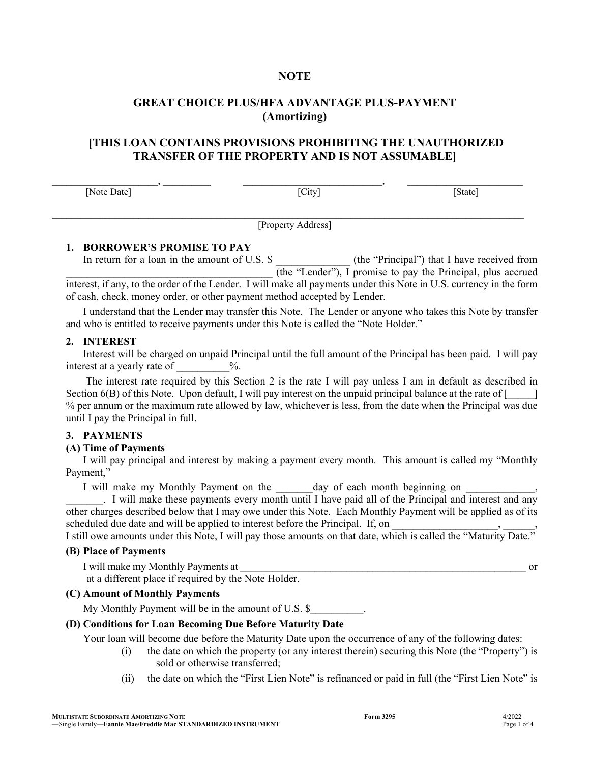## **NOTE**

## **GREAT CHOICE PLUS/HFA ADVANTAGE PLUS-PAYMENT (Amortizing)**

# **[THIS LOAN CONTAINS PROVISIONS PROHIBITING THE UNAUTHORIZED TRANSFER OF THE PROPERTY AND IS NOT ASSUMABLE]**

 $\,$ ,  $\,$ 

 $\mathcal{L}_\mathcal{L} = \mathcal{L}_\mathcal{L} = \mathcal{L}_\mathcal{L} = \mathcal{L}_\mathcal{L} = \mathcal{L}_\mathcal{L} = \mathcal{L}_\mathcal{L} = \mathcal{L}_\mathcal{L} = \mathcal{L}_\mathcal{L} = \mathcal{L}_\mathcal{L} = \mathcal{L}_\mathcal{L} = \mathcal{L}_\mathcal{L} = \mathcal{L}_\mathcal{L} = \mathcal{L}_\mathcal{L} = \mathcal{L}_\mathcal{L} = \mathcal{L}_\mathcal{L} = \mathcal{L}_\mathcal{L} = \mathcal{L}_\mathcal{L}$ 

[Note Date] [City] [State] [State]

[Property Address]

#### **1. BORROWER'S PROMISE TO PAY**

In return for a loan in the amount of U.S. \$ (the "Principal") that I have received from  $\overline{I(the "Lender"), I}$  promise to pay the Principal, plus accrued interest, if any, to the order of the Lender. I will make all payments under this Note in U.S. currency in the form of cash, check, money order, or other payment method accepted by Lender.

I understand that the Lender may transfer this Note. The Lender or anyone who takes this Note by transfer and who is entitled to receive payments under this Note is called the "Note Holder."

#### **2. INTEREST**

Interest will be charged on unpaid Principal until the full amount of the Principal has been paid. I will pay interest at a yearly rate of  $\%$ .

The interest rate required by this Section 2 is the rate I will pay unless I am in default as described in Section  $6(B)$  of this Note. Upon default, I will pay interest on the unpaid principal balance at the rate of  $\lceil \qquad \rceil$ % per annum or the maximum rate allowed by law, whichever is less, from the date when the Principal was due until I pay the Principal in full.

#### **3. PAYMENTS**

#### **(A) Time of Payments**

I will pay principal and interest by making a payment every month. This amount is called my "Monthly Payment,"

I will make my Monthly Payment on the day of each month beginning on

\_\_\_\_\_\_\_. I will make these payments every month until I have paid all of the Principal and interest and any other charges described below that I may owe under this Note. Each Monthly Payment will be applied as of its scheduled due date and will be applied to interest before the Principal. If, on

I still owe amounts under this Note, I will pay those amounts on that date, which is called the "Maturity Date."

## **(B) Place of Payments**

I will make my Monthly Payments at  $\qquad \qquad$  or at a different place if required by the Note Holder.

## **(C) Amount of Monthly Payments**

My Monthly Payment will be in the amount of U.S. \$

#### **(D) Conditions for Loan Becoming Due Before Maturity Date**

Your loan will become due before the Maturity Date upon the occurrence of any of the following dates:

- (i) the date on which the property (or any interest therein) securing this Note (the "Property") is sold or otherwise transferred;
- (ii) the date on which the "First Lien Note" is refinanced or paid in full (the "First Lien Note" is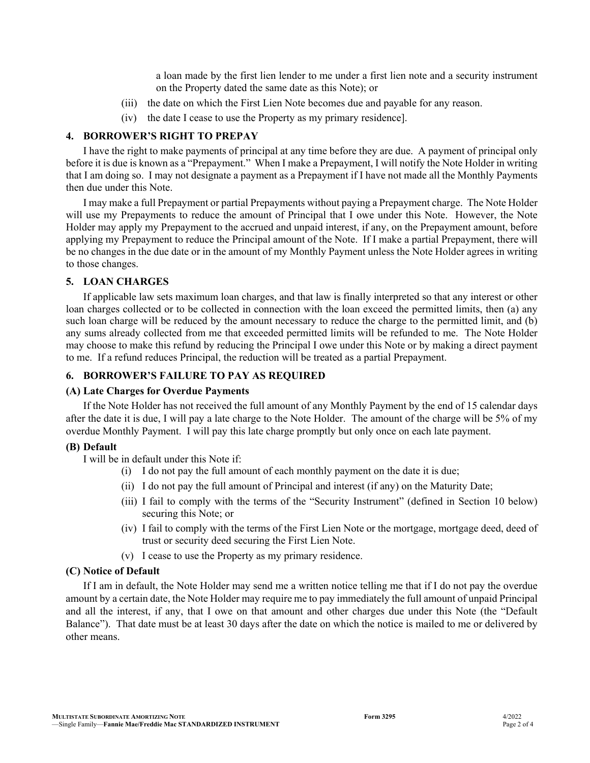a loan made by the first lien lender to me under a first lien note and a security instrument on the Property dated the same date as this Note); or

- (iii) the date on which the First Lien Note becomes due and payable for any reason.
- (iv) the date I cease to use the Property as my primary residence].

#### **4. BORROWER'S RIGHT TO PREPAY**

I have the right to make payments of principal at any time before they are due. A payment of principal only before it is due is known as a "Prepayment." When I make a Prepayment, I will notify the Note Holder in writing that I am doing so. I may not designate a payment as a Prepayment if I have not made all the Monthly Payments then due under this Note.

I may make a full Prepayment or partial Prepayments without paying a Prepayment charge. The Note Holder will use my Prepayments to reduce the amount of Principal that I owe under this Note. However, the Note Holder may apply my Prepayment to the accrued and unpaid interest, if any, on the Prepayment amount, before applying my Prepayment to reduce the Principal amount of the Note. If I make a partial Prepayment, there will be no changes in the due date or in the amount of my Monthly Payment unless the Note Holder agrees in writing to those changes.

#### **5. LOAN CHARGES**

If applicable law sets maximum loan charges, and that law is finally interpreted so that any interest or other loan charges collected or to be collected in connection with the loan exceed the permitted limits, then (a) any such loan charge will be reduced by the amount necessary to reduce the charge to the permitted limit, and (b) any sums already collected from me that exceeded permitted limits will be refunded to me. The Note Holder may choose to make this refund by reducing the Principal I owe under this Note or by making a direct payment to me. If a refund reduces Principal, the reduction will be treated as a partial Prepayment.

## **6. BORROWER'S FAILURE TO PAY AS REQUIRED**

#### **(A) Late Charges for Overdue Payments**

If the Note Holder has not received the full amount of any Monthly Payment by the end of 15 calendar days after the date it is due, I will pay a late charge to the Note Holder. The amount of the charge will be 5% of my overdue Monthly Payment. I will pay this late charge promptly but only once on each late payment.

#### **(B) Default**

I will be in default under this Note if:

- (i) I do not pay the full amount of each monthly payment on the date it is due;
- (ii) I do not pay the full amount of Principal and interest (if any) on the Maturity Date;
- (iii) I fail to comply with the terms of the "Security Instrument" (defined in Section 10 below) securing this Note; or
- (iv) I fail to comply with the terms of the First Lien Note or the mortgage, mortgage deed, deed of trust or security deed securing the First Lien Note.
- (v) I cease to use the Property as my primary residence.

#### **(C) Notice of Default**

If I am in default, the Note Holder may send me a written notice telling me that if I do not pay the overdue amount by a certain date, the Note Holder may require me to pay immediately the full amount of unpaid Principal and all the interest, if any, that I owe on that amount and other charges due under this Note (the "Default Balance"). That date must be at least 30 days after the date on which the notice is mailed to me or delivered by other means.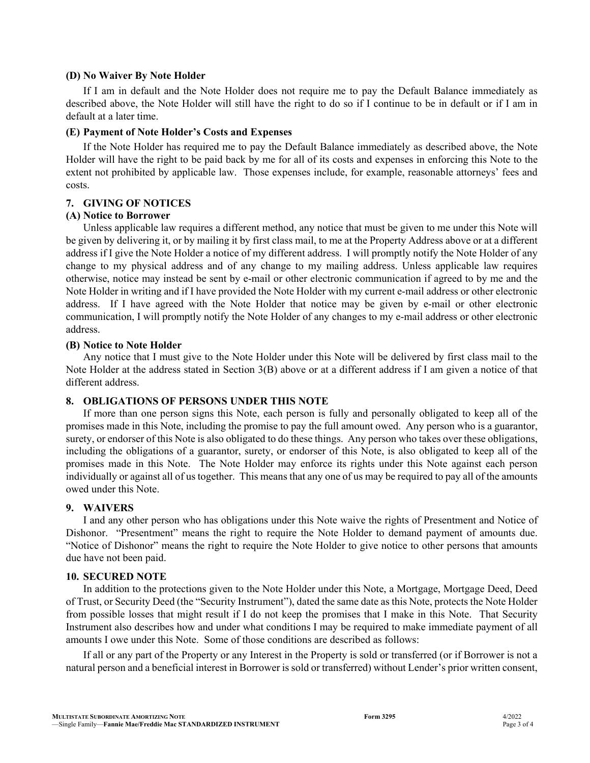#### **(D) No Waiver By Note Holder**

If I am in default and the Note Holder does not require me to pay the Default Balance immediately as described above, the Note Holder will still have the right to do so if I continue to be in default or if I am in default at a later time.

#### **(E) Payment of Note Holder's Costs and Expenses**

If the Note Holder has required me to pay the Default Balance immediately as described above, the Note Holder will have the right to be paid back by me for all of its costs and expenses in enforcing this Note to the extent not prohibited by applicable law. Those expenses include, for example, reasonable attorneys' fees and costs.

## **7. GIVING OF NOTICES**

#### **(A) Notice to Borrower**

Unless applicable law requires a different method, any notice that must be given to me under this Note will be given by delivering it, or by mailing it by first class mail, to me at the Property Address above or at a different address if I give the Note Holder a notice of my different address. I will promptly notify the Note Holder of any change to my physical address and of any change to my mailing address. Unless applicable law requires otherwise, notice may instead be sent by e-mail or other electronic communication if agreed to by me and the Note Holder in writing and if I have provided the Note Holder with my current e-mail address or other electronic address. If I have agreed with the Note Holder that notice may be given by e-mail or other electronic communication, I will promptly notify the Note Holder of any changes to my e-mail address or other electronic address.

#### **(B) Notice to Note Holder**

Any notice that I must give to the Note Holder under this Note will be delivered by first class mail to the Note Holder at the address stated in Section 3(B) above or at a different address if I am given a notice of that different address.

#### **8. OBLIGATIONS OF PERSONS UNDER THIS NOTE**

If more than one person signs this Note, each person is fully and personally obligated to keep all of the promises made in this Note, including the promise to pay the full amount owed. Any person who is a guarantor, surety, or endorser of this Note is also obligated to do these things. Any person who takes over these obligations, including the obligations of a guarantor, surety, or endorser of this Note, is also obligated to keep all of the promises made in this Note. The Note Holder may enforce its rights under this Note against each person individually or against all of us together. This means that any one of us may be required to pay all of the amounts owed under this Note.

#### **9. WAIVERS**

I and any other person who has obligations under this Note waive the rights of Presentment and Notice of Dishonor. "Presentment" means the right to require the Note Holder to demand payment of amounts due. "Notice of Dishonor" means the right to require the Note Holder to give notice to other persons that amounts due have not been paid.

#### **10. SECURED NOTE**

In addition to the protections given to the Note Holder under this Note, a Mortgage, Mortgage Deed, Deed of Trust, or Security Deed (the "Security Instrument"), dated the same date as this Note, protects the Note Holder from possible losses that might result if I do not keep the promises that I make in this Note. That Security Instrument also describes how and under what conditions I may be required to make immediate payment of all amounts I owe under this Note. Some of those conditions are described as follows:

If all or any part of the Property or any Interest in the Property is sold or transferred (or if Borrower is not a natural person and a beneficial interest in Borrower is sold or transferred) without Lender's prior written consent,